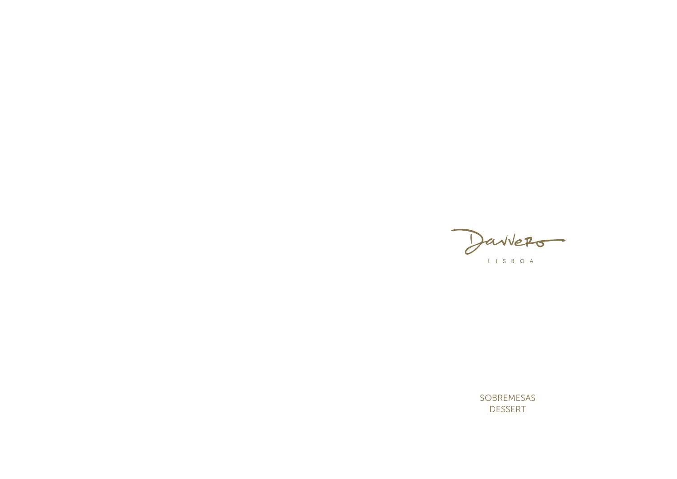Daviers

SOBREMESAS DESSERT